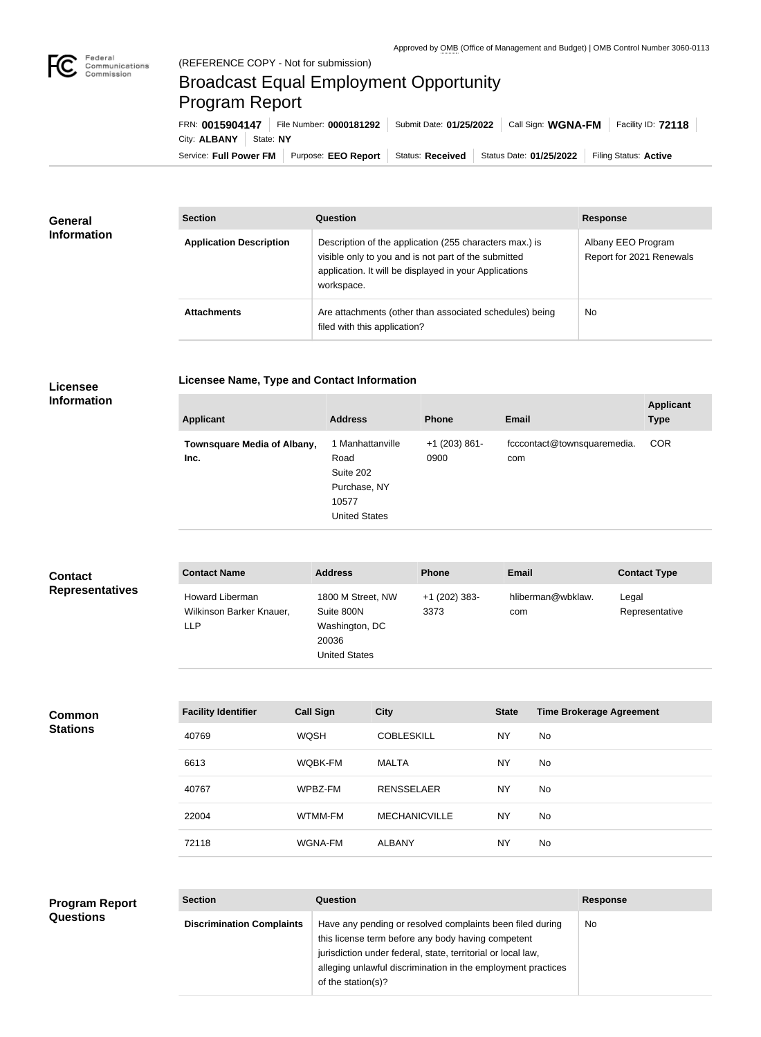## Broadcast Equal Employment Opportunity Program Report

**Licensee Name, Type and Contact Information**

Service: Full Power FM Purpose: EEO Report | Status: Received | Status Date: 01/25/2022 | Filing Status: Active City: **ALBANY** State: NY FRN: **0015904147** File Number: **0000181292** Submit Date: **01/25/2022** Call Sign: **WGNA-FM** Facility ID: **72118**

| General<br><b>Information</b> | <b>Section</b>                 | Question                                                                                                                                                                                | <b>Response</b>                                |
|-------------------------------|--------------------------------|-----------------------------------------------------------------------------------------------------------------------------------------------------------------------------------------|------------------------------------------------|
|                               | <b>Application Description</b> | Description of the application (255 characters max.) is<br>visible only to you and is not part of the submitted<br>application. It will be displayed in your Applications<br>workspace. | Albany EEO Program<br>Report for 2021 Renewals |
|                               | <b>Attachments</b>             | Are attachments (other than associated schedules) being<br>filed with this application?                                                                                                 | <b>No</b>                                      |

## **Licensee Information**

| <b>COR</b><br>1 Manhattanville<br>$+1$ (203) 861-<br>fcccontact@townsquaremedia.<br>Townsquare Media of Albany,<br>Road<br>0900<br>Inc.<br>com<br>Suite 202<br>Purchase, NY<br>10577<br><b>United States</b> | <b>Applicant</b> | <b>Address</b> | <b>Phone</b> | <b>Email</b> | <b>Applicant</b><br><b>Type</b> |
|--------------------------------------------------------------------------------------------------------------------------------------------------------------------------------------------------------------|------------------|----------------|--------------|--------------|---------------------------------|
|                                                                                                                                                                                                              |                  |                |              |              |                                 |

| <b>Contact</b><br><b>Representatives</b> | <b>Contact Name</b>                                       | <b>Address</b>                              |                                     | <b>Phone</b>          | Email        |                                 | <b>Contact Type</b>     |
|------------------------------------------|-----------------------------------------------------------|---------------------------------------------|-------------------------------------|-----------------------|--------------|---------------------------------|-------------------------|
|                                          | Howard Liberman<br>Wilkinson Barker Knauer,<br><b>LLP</b> | Suite 800N<br>20036<br><b>United States</b> | 1800 M Street, NW<br>Washington, DC | +1 (202) 383-<br>3373 | com          | hliberman@wbklaw.               | Legal<br>Representative |
|                                          |                                                           |                                             |                                     |                       |              |                                 |                         |
| <b>Common</b><br><b>Stations</b>         | <b>Facility Identifier</b>                                | <b>Call Sign</b>                            | <b>City</b>                         |                       | <b>State</b> | <b>Time Brokerage Agreement</b> |                         |
|                                          | 40769                                                     | <b>WQSH</b>                                 | <b>COBLESKILL</b>                   |                       | <b>NY</b>    | No                              |                         |
|                                          | 6613                                                      | WQBK-FM                                     | <b>MALTA</b>                        |                       | <b>NY</b>    | No                              |                         |
|                                          | 40767                                                     | WPBZ-FM                                     | <b>RENSSELAER</b>                   |                       | <b>NY</b>    | No                              |                         |
|                                          | 22004                                                     | WTMM-FM                                     | <b>MECHANICVILLE</b>                |                       | <b>NY</b>    | No                              |                         |
|                                          | 72118                                                     | WGNA-FM                                     | <b>ALBANY</b>                       |                       | <b>NY</b>    | No                              |                         |
|                                          |                                                           |                                             |                                     |                       |              |                                 |                         |

| <b>Program Report</b> | <b>Section</b>                   | <b>Question</b>                                                                                                                                                                                                                                                       | <b>Response</b> |
|-----------------------|----------------------------------|-----------------------------------------------------------------------------------------------------------------------------------------------------------------------------------------------------------------------------------------------------------------------|-----------------|
| <b>Questions</b>      | <b>Discrimination Complaints</b> | Have any pending or resolved complaints been filed during<br>this license term before any body having competent<br>jurisdiction under federal, state, territorial or local law,<br>alleging unlawful discrimination in the employment practices<br>of the station(s)? | No.             |
|                       |                                  |                                                                                                                                                                                                                                                                       |                 |